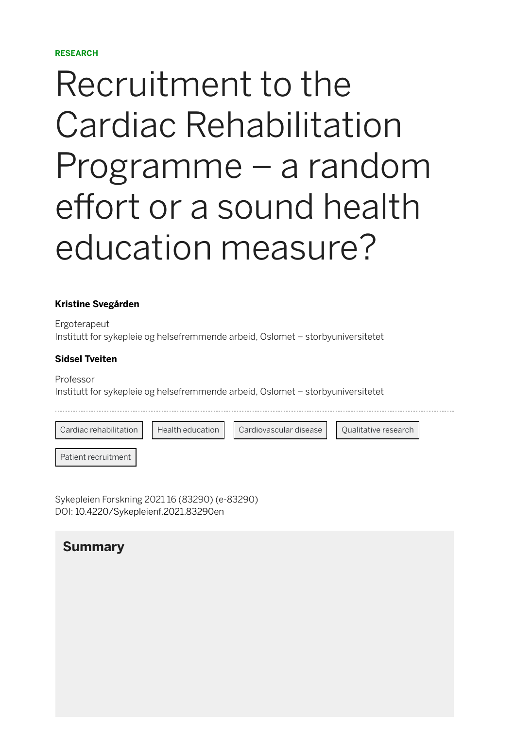#### **RESEARCH**

# Recruitment to the Cardiac Rehabilitation Programme – a random effort or a sound health education measure?

#### **[Kristine Svegården](https://sykepleien.no/profil/kristine-svegarden)**

Ergoterapeut Institutt for sykepleie og helsefremmende arbeid, Oslomet – storbyuniversitetet

#### **[Sidsel Tveiten](https://sykepleien.no/profil/sidsel-tveiten)**

Professor Institutt for sykepleie og helsefremmende arbeid, Oslomet – storbyuniversitetet

[Cardiac rehabilitation](https://sykepleien.no/search?search_keys=Cardiac) | [Health education](https://sykepleien.no/search?search_keys=Health) | [Cardiovascular disease](https://sykepleien.no/search?search_keys=Cardiovascular) | [Qualitative research](https://sykepleien.no/search?search_keys=Qualitative)

[Patient recruitment](https://sykepleien.no/search?search_keys=Patient)

Sykepleien Forskning 2021 16 (83290) (e-83290) DOI: [10.4220/Sykepleienf.2021.83290en](https://doi.org/10.4220/Sykepleienf.2021.83290en)

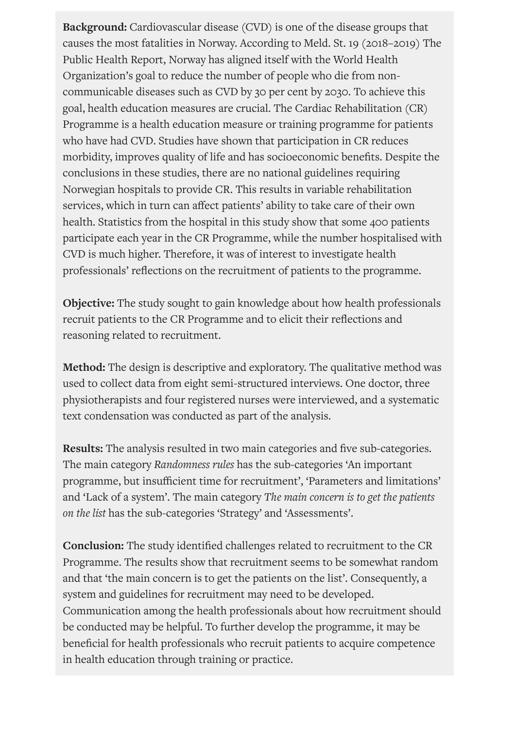**Background:** Cardiovascular disease (CVD) is one of the disease groups that causes the most fatalities in Norway. According to Meld. St. 19 (2018–2019) The Public Health Report, Norway has aligned itself with the World Health Organization's goal to reduce the number of people who die from noncommunicable diseases such as CVD by 30 per cent by 2030. To achieve this goal, health education measures are crucial. The Cardiac Rehabilitation (CR) Programme is a health education measure or training programme for patients who have had CVD. Studies have shown that participation in CR reduces morbidity, improves quality of life and has socioeconomic benefits. Despite the conclusions in these studies, there are no national guidelines requiring Norwegian hospitals to provide CR. This results in variable rehabilitation services, which in turn can affect patients' ability to take care of their own health. Statistics from the hospital in this study show that some 400 patients participate each year in the CR Programme, while the number hospitalised with CVD is much higher. Therefore, it was of interest to investigate health professionals' reflections on the recruitment of patients to the programme.

**Objective:** The study sought to gain knowledge about how health professionals recruit patients to the CR Programme and to elicit their reflections and reasoning related to recruitment.

**Method:** The design is descriptive and exploratory. The qualitative method was used to collect data from eight semi-structured interviews. One doctor, three physiotherapists and four registered nurses were interviewed, and a systematic text condensation was conducted as part of the analysis.

**Results:** The analysis resulted in two main categories and five sub-categories. The main category *Randomness rules* has the sub-categories 'An important programme, but insufficient time for recruitment', 'Parameters and limitations' and 'Lack of a system'. The main category *The main concern is to get the patients on the list* has the sub-categories 'Strategy' and 'Assessments'.

**Conclusion:** The study identified challenges related to recruitment to the CR Programme. The results show that recruitment seems to be somewhat random and that 'the main concern is to get the patients on the list'. Consequently, a system and guidelines for recruitment may need to be developed. Communication among the health professionals about how recruitment should be conducted may be helpful. To further develop the programme, it may be beneficial for health professionals who recruit patients to acquire competence in health education through training or practice.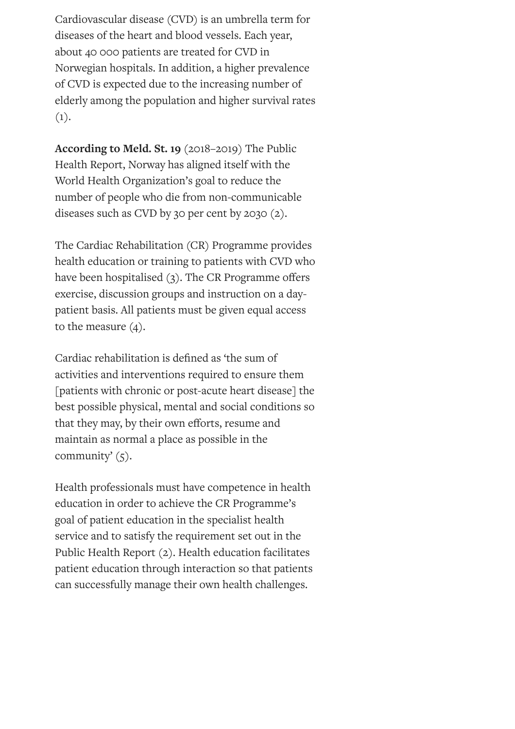Cardiovascular disease (CVD) is an umbrella term for diseases of the heart and blood vessels. Each year, about 40 000 patients are treated for CVD in Norwegian hospitals. In addition, a higher prevalence of CVD is expected due to the increasing number of elderly among the population and higher survival rates  $(1).$ 

**According to Meld. St. 19** (2018–2019) The Public Health Report, Norway has aligned itself with the World Health Organization's goal to reduce the number of people who die from non-communicable diseases such as CVD by 30 per cent by 2030 (2).

The Cardiac Rehabilitation (CR) Programme provides health education or training to patients with CVD who have been hospitalised  $(3)$ . The CR Programme offers exercise, discussion groups and instruction on a daypatient basis. All patients must be given equal access to the measure (4).

Cardiac rehabilitation is defined as 'the sum of activities and interventions required to ensure them [patients with chronic or post-acute heart disease] the best possible physical, mental and social conditions so that they may, by their own efforts, resume and maintain as normal a place as possible in the community'  $(5)$ .

Health professionals must have competence in health education in order to achieve the CR Programme's goal of patient education in the specialist health service and to satisfy the requirement set out in the Public Health Report (2). Health education facilitates patient education through interaction so that patients can successfully manage their own health challenges.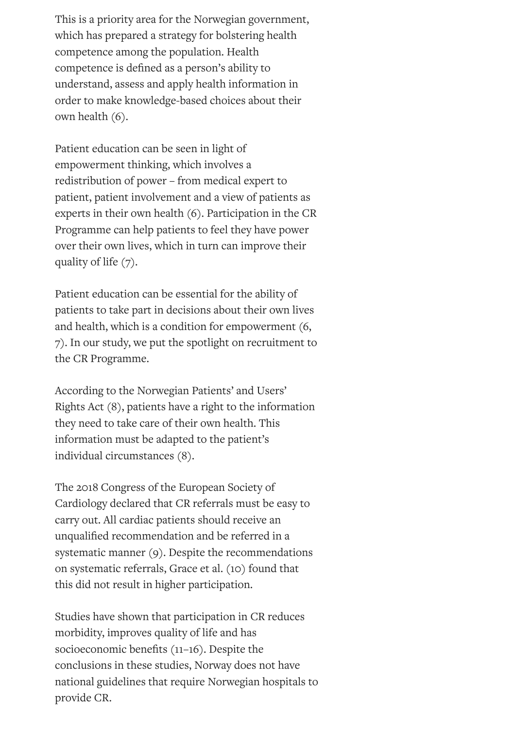This is a priority area for the Norwegian government, which has prepared a strategy for bolstering health competence among the population. Health competence is defined as a person's ability to understand, assess and apply health information in order to make knowledge-based choices about their own health (6).

Patient education can be seen in light of empowerment thinking, which involves a redistribution of power – from medical expert to patient, patient involvement and a view of patients as experts in their own health (6). Participation in the CR Programme can help patients to feel they have power over their own lives, which in turn can improve their quality of life (7).

Patient education can be essential for the ability of patients to take part in decisions about their own lives and health, which is a condition for empowerment (6, 7). In our study, we put the spotlight on recruitment to the CR Programme.

According to the Norwegian Patients' and Users' Rights Act (8), patients have a right to the information they need to take care of their own health. This information must be adapted to the patient's individual circumstances (8).

The 2018 Congress of the European Society of Cardiology declared that CR referrals must be easy to carry out. All cardiac patients should receive an unqualified recommendation and be referred in a systematic manner (9). Despite the recommendations on systematic referrals, Grace et al. (10) found that this did not result in higher participation.

Studies have shown that participation in CR reduces morbidity, improves quality of life and has socioeconomic benefits (11-16). Despite the conclusions in these studies, Norway does not have national guidelines that require Norwegian hospitals to provide CR.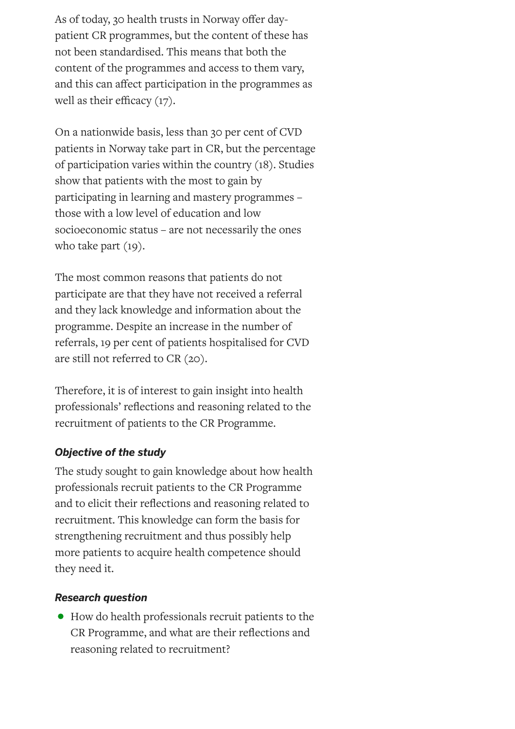As of today, 30 health trusts in Norway offer daypatient CR programmes, but the content of these has not been standardised. This means that both the content of the programmes and access to them vary, and this can affect participation in the programmes as well as their efficacy  $(17)$ .

On a nationwide basis, less than 30 per cent of CVD patients in Norway take part in CR, but the percentage of participation varies within the country (18). Studies show that patients with the most to gain by participating in learning and mastery programmes – those with a low level of education and low socioeconomic status – are not necessarily the ones who take part (19).

The most common reasons that patients do not participate are that they have not received a referral and they lack knowledge and information about the programme. Despite an increase in the number of referrals, 19 per cent of patients hospitalised for CVD are still not referred to CR (20).

Therefore, it is of interest to gain insight into health professionals' reflections and reasoning related to the recruitment of patients to the CR Programme.

#### *Objective of the study*

The study sought to gain knowledge about how health professionals recruit patients to the CR Programme and to elicit their reflections and reasoning related to recruitment. This knowledge can form the basis for strengthening recruitment and thus possibly help more patients to acquire health competence should they need it.

#### *Research question*

• How do health professionals recruit patients to the CR Programme, and what are their reflections and reasoning related to recruitment?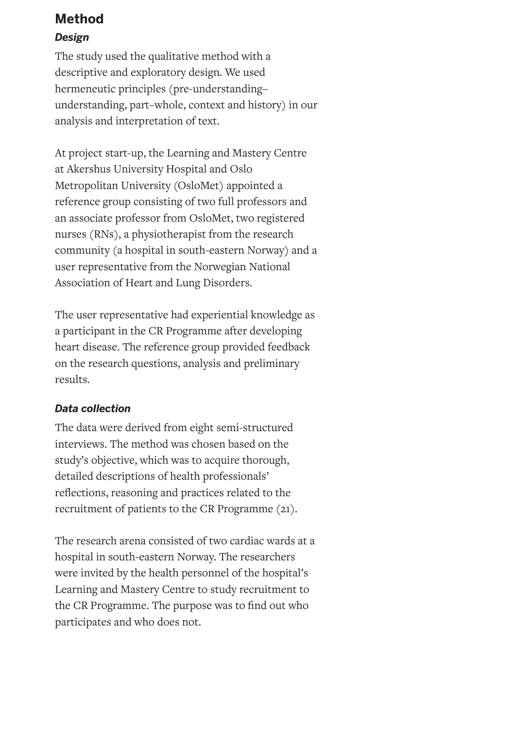## **Method**

#### *Design*

The study used the qualitative method with a descriptive and exploratory design. We used hermeneutic principles (pre-understanding– understanding, part–whole, context and history) in our analysis and interpretation of text.

At project start-up, the Learning and Mastery Centre at Akershus University Hospital and Oslo Metropolitan University (OsloMet) appointed a reference group consisting of two full professors and an associate professor from OsloMet, two registered nurses (RNs), a physiotherapist from the research community (a hospital in south-eastern Norway) and a user representative from the Norwegian National Association of Heart and Lung Disorders.

The user representative had experiential knowledge as a participant in the CR Programme after developing heart disease. The reference group provided feedback on the research questions, analysis and preliminary results.

#### *Data collection*

The data were derived from eight semi-structured interviews. The method was chosen based on the study's objective, which was to acquire thorough, detailed descriptions of health professionals' reflections, reasoning and practices related to the recruitment of patients to the CR Programme (21).

The research arena consisted of two cardiac wards at a hospital in south-eastern Norway. The researchers were invited by the health personnel of the hospital's Learning and Mastery Centre to study recruitment to the CR Programme. The purpose was to find out who participates and who does not.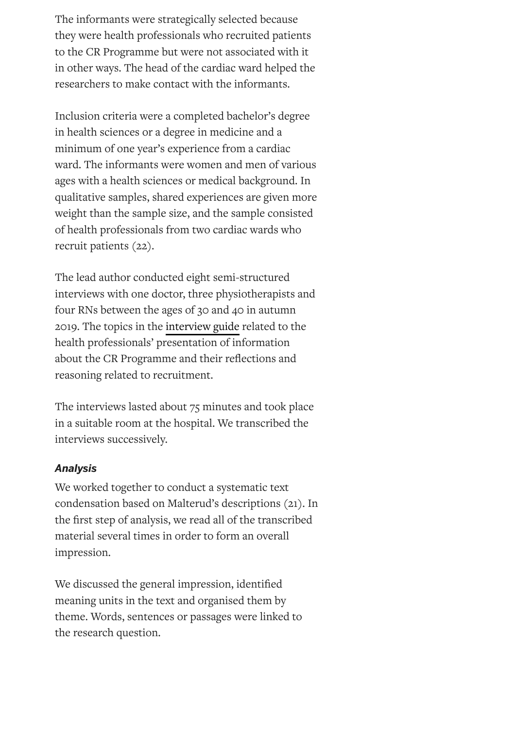The informants were strategically selected because they were health professionals who recruited patients to the CR Programme but were not associated with it in other ways. The head of the cardiac ward helped the researchers to make contact with the informants.

Inclusion criteria were a completed bachelor's degree in health sciences or a degree in medicine and a minimum of one year's experience from a cardiac ward. The informants were women and men of various ages with a health sciences or medical background. In qualitative samples, shared experiences are given more weight than the sample size, and the sample consisted of health professionals from two cardiac wards who recruit patients (22).

The lead author conducted eight semi-structured interviews with one doctor, three physiotherapists and four RNs between the ages of 30 and 40 in autumn 2019. The topics in the [interview](https://sykepleien.no/sites/default/files/2021-06/Sveg%C3%A5rden_ENG_Vedlegg%201.jpg) guide related to the health professionals' presentation of information about the CR Programme and their reflections and reasoning related to recruitment.

The interviews lasted about 75 minutes and took place in a suitable room at the hospital. We transcribed the interviews successively.

#### *Analysis*

We worked together to conduct a systematic text condensation based on Malterud's descriptions (21). In the first step of analysis, we read all of the transcribed material several times in order to form an overall impression.

We discussed the general impression, identified meaning units in the text and organised them by theme. Words, sentences or passages were linked to the research question.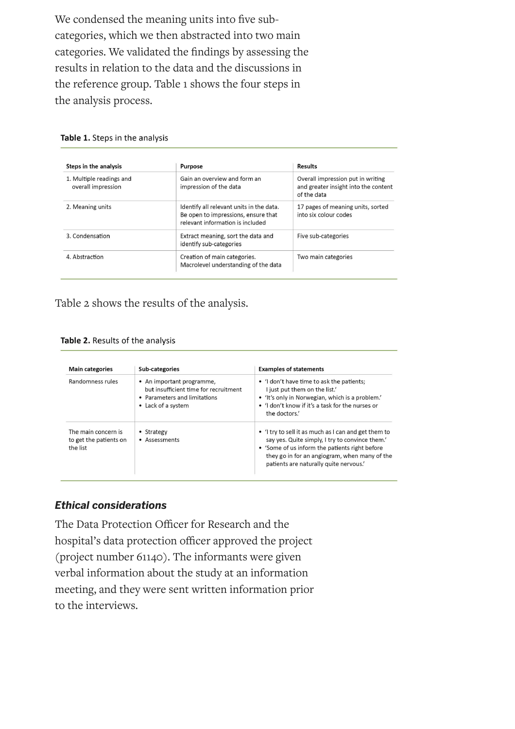We condensed the meaning units into five subcategories, which we then abstracted into two main categories. We validated the findings by assessing the results in relation to the data and the discussions in the reference group. Table 1 shows the four steps in the analysis process.

| Table 1. Steps in the analysis |  |  |  |  |
|--------------------------------|--|--|--|--|
|                                |  |  |  |  |

| Steps in the analysis                          | <b>Purpose</b>                                                                                                      | <b>Results</b>                                                                           |  |
|------------------------------------------------|---------------------------------------------------------------------------------------------------------------------|------------------------------------------------------------------------------------------|--|
| 1. Multiple readings and<br>overall impression | Gain an overview and form an<br>impression of the data                                                              | Overall impression put in writing<br>and greater insight into the content<br>of the data |  |
| 2. Meaning units                               | Identify all relevant units in the data.<br>Be open to impressions, ensure that<br>relevant information is included | 17 pages of meaning units, sorted<br>into six colour codes                               |  |
| 3. Condensation                                | Extract meaning, sort the data and<br>identify sub-categories                                                       | Five sub-categories                                                                      |  |
| 4. Abstraction                                 | Creation of main categories.<br>Macrolevel understanding of the data                                                | Two main categories                                                                      |  |

Table 2 shows the results of the analysis.

Table 2. Results of the analysis

| <b>Main categories</b>                                                                   | Sub-categories                                                                                                           | <b>Examples of statements</b>                                                                                                                                                                                                                        |  |  |
|------------------------------------------------------------------------------------------|--------------------------------------------------------------------------------------------------------------------------|------------------------------------------------------------------------------------------------------------------------------------------------------------------------------------------------------------------------------------------------------|--|--|
| Randomness rules                                                                         | • An important programme,<br>but insufficient time for recruitment<br>• Parameters and limitations<br>• Lack of a system | • 'I don't have time to ask the patients;<br>I just put them on the list.'<br>• 'It's only in Norwegian, which is a problem.'<br>. 'I don't know if it's a task for the nurses or<br>the doctors.'                                                   |  |  |
| The main concern is<br>• Strategy<br>to get the patients on<br>• Assessments<br>the list |                                                                                                                          | • 'I try to sell it as much as I can and get them to<br>say yes. Quite simply, I try to convince them.'<br>• 'Some of us inform the patients right before<br>they go in for an angiogram, when many of the<br>patients are naturally quite nervous.' |  |  |

#### *Ethical considerations*

The Data Protection Officer for Research and the hospital's data protection officer approved the project (project number 61140). The informants were given verbal information about the study at an information meeting, and they were sent written information prior to the interviews.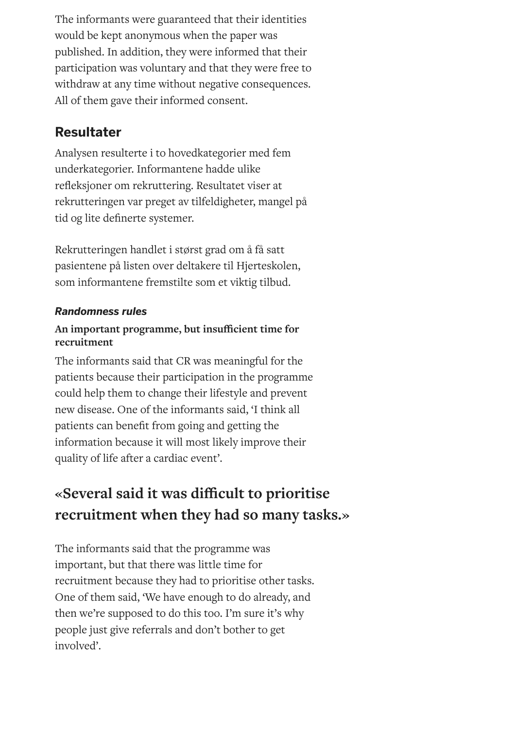The informants were guaranteed that their identities would be kept anonymous when the paper was published. In addition, they were informed that their participation was voluntary and that they were free to withdraw at any time without negative consequences. All of them gave their informed consent.

## **Resultater**

Analysen resulterte i to hovedkategorier med fem underkategorier. Informantene hadde ulike refleksjoner om rekruttering. Resultatet viser at rekrutteringen var preget av tilfeldigheter, mangel på tid og lite definerte systemer.

Rekrutteringen handlet i størst grad om å få satt pasientene på listen over deltakere til Hjerteskolen, som informantene fremstilte som et viktig tilbud.

#### *Randomness rules*

#### **An important programme, but insucient time for recruitment**

The informants said that CR was meaningful for the patients because their participation in the programme could help them to change their lifestyle and prevent new disease. One of the informants said, 'I think all patients can benefit from going and getting the information because it will most likely improve their quality of life after a cardiac event'.

# **«Several said it was dicult to prioritise recruitment when they had so many tasks.»**

The informants said that the programme was important, but that there was little time for recruitment because they had to prioritise other tasks. One of them said, 'We have enough to do already, and then we're supposed to do this too. I'm sure it's why people just give referrals and don't bother to get involved'.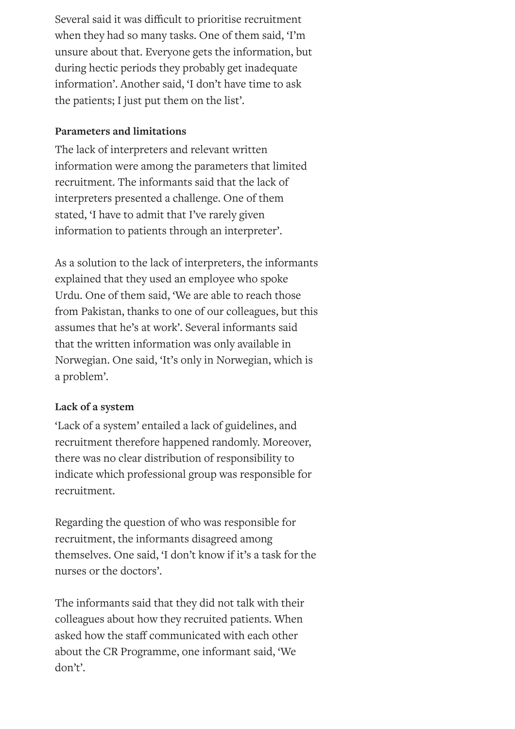Several said it was difficult to prioritise recruitment when they had so many tasks. One of them said, 'I'm unsure about that. Everyone gets the information, but during hectic periods they probably get inadequate information'. Another said, 'I don't have time to ask the patients; I just put them on the list'.

#### **Parameters and limitations**

The lack of interpreters and relevant written information were among the parameters that limited recruitment. The informants said that the lack of interpreters presented a challenge. One of them stated, 'I have to admit that I've rarely given information to patients through an interpreter'.

As a solution to the lack of interpreters, the informants explained that they used an employee who spoke Urdu. One of them said, 'We are able to reach those from Pakistan, thanks to one of our colleagues, but this assumes that he's at work'. Several informants said that the written information was only available in Norwegian. One said, 'It's only in Norwegian, which is a problem'.

#### **Lack of a system**

'Lack of a system' entailed a lack of guidelines, and recruitment therefore happened randomly. Moreover, there was no clear distribution of responsibility to indicate which professional group was responsible for recruitment.

Regarding the question of who was responsible for recruitment, the informants disagreed among themselves. One said, 'I don't know if it's a task for the nurses or the doctors'.

The informants said that they did not talk with their colleagues about how they recruited patients. When asked how the staff communicated with each other about the CR Programme, one informant said, 'We don't'.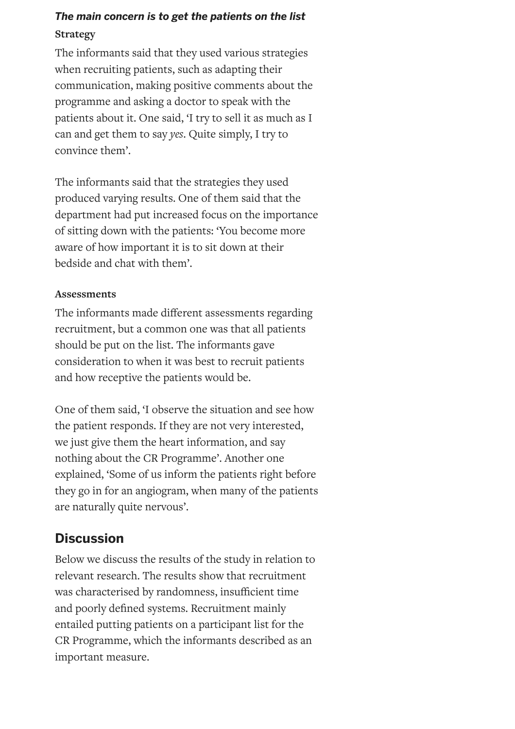### *The main concern is to get the patients on the list* **Strategy**

The informants said that they used various strategies when recruiting patients, such as adapting their communication, making positive comments about the programme and asking a doctor to speak with the patients about it. One said, 'I try to sell it as much as I can and get them to say *yes*. Quite simply, I try to convince them'.

The informants said that the strategies they used produced varying results. One of them said that the department had put increased focus on the importance of sitting down with the patients: 'You become more aware of how important it is to sit down at their bedside and chat with them'.

#### **Assessments**

The informants made different assessments regarding recruitment, but a common one was that all patients should be put on the list. The informants gave consideration to when it was best to recruit patients and how receptive the patients would be.

One of them said, 'I observe the situation and see how the patient responds. If they are not very interested, we just give them the heart information, and say nothing about the CR Programme'. Another one explained, 'Some of us inform the patients right before they go in for an angiogram, when many of the patients are naturally quite nervous'.

## **Discussion**

Below we discuss the results of the study in relation to relevant research. The results show that recruitment was characterised by randomness, insufficient time and poorly defined systems. Recruitment mainly entailed putting patients on a participant list for the CR Programme, which the informants described as an important measure.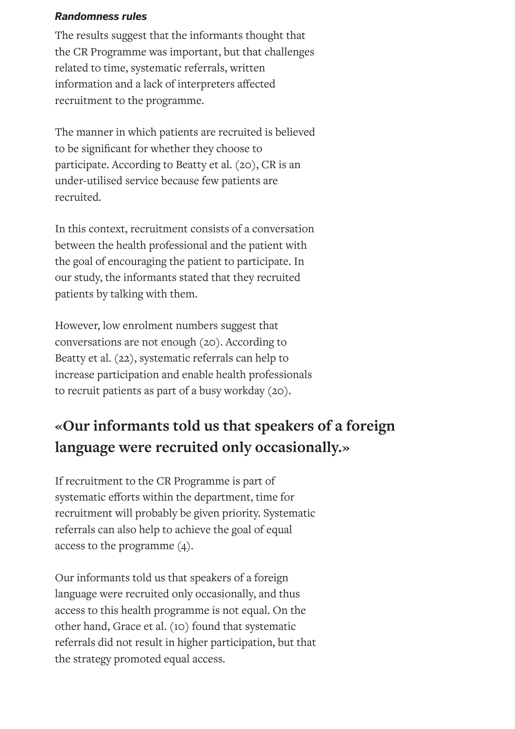#### *Randomness rules*

The results suggest that the informants thought that the CR Programme was important, but that challenges related to time, systematic referrals, written information and a lack of interpreters affected recruitment to the programme.

The manner in which patients are recruited is believed to be signicant for whether they choose to participate. According to Beatty et al. (20), CR is an under-utilised service because few patients are recruited.

In this context, recruitment consists of a conversation between the health professional and the patient with the goal of encouraging the patient to participate. In our study, the informants stated that they recruited patients by talking with them.

However, low enrolment numbers suggest that conversations are not enough (20). According to Beatty et al. (22), systematic referrals can help to increase participation and enable health professionals to recruit patients as part of a busy workday (20).

# **«Our informants told us that speakers of a foreign language were recruited only occasionally.»**

If recruitment to the CR Programme is part of systematic efforts within the department, time for recruitment will probably be given priority. Systematic referrals can also help to achieve the goal of equal access to the programme (4).

Our informants told us that speakers of a foreign language were recruited only occasionally, and thus access to this health programme is not equal. On the other hand, Grace et al. (10) found that systematic referrals did not result in higher participation, but that the strategy promoted equal access.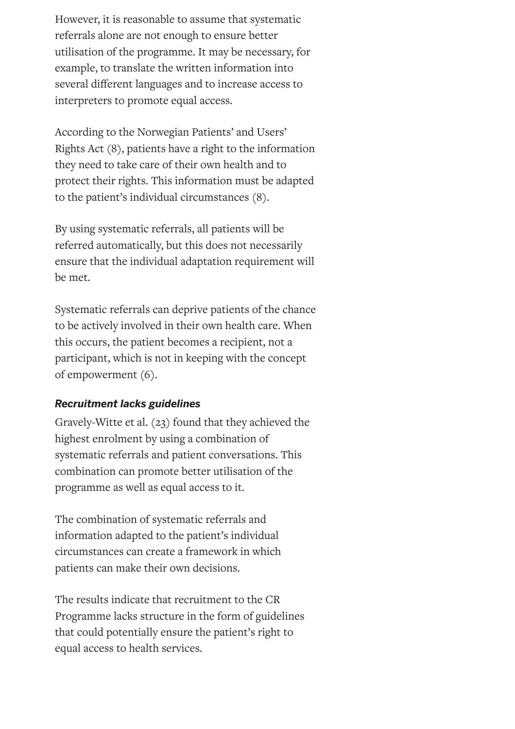However, it is reasonable to assume that systematic referrals alone are not enough to ensure better utilisation of the programme. It may be necessary, for example, to translate the written information into several different languages and to increase access to interpreters to promote equal access.

According to the Norwegian Patients' and Users' Rights Act (8), patients have a right to the information they need to take care of their own health and to protect their rights. This information must be adapted to the patient's individual circumstances (8).

By using systematic referrals, all patients will be referred automatically, but this does not necessarily ensure that the individual adaptation requirement will be met.

Systematic referrals can deprive patients of the chance to be actively involved in their own health care. When this occurs, the patient becomes a recipient, not a participant, which is not in keeping with the concept of empowerment (6).

#### *Recruitment lacks guidelines*

Gravely-Witte et al. (23) found that they achieved the highest enrolment by using a combination of systematic referrals and patient conversations. This combination can promote better utilisation of the programme as well as equal access to it.

The combination of systematic referrals and information adapted to the patient's individual circumstances can create a framework in which patients can make their own decisions.

The results indicate that recruitment to the CR Programme lacks structure in the form of guidelines that could potentially ensure the patient's right to equal access to health services.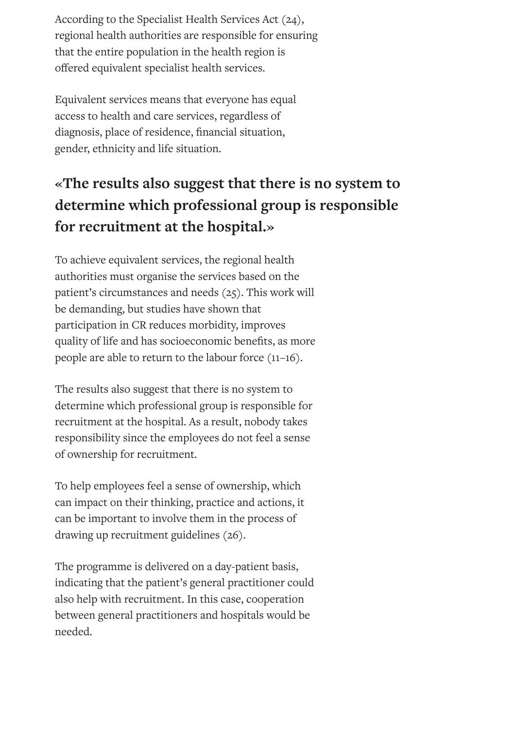According to the Specialist Health Services Act (24), regional health authorities are responsible for ensuring that the entire population in the health region is offered equivalent specialist health services.

Equivalent services means that everyone has equal access to health and care services, regardless of diagnosis, place of residence, financial situation, gender, ethnicity and life situation.

# **«The results also suggest that there is no system to determine which professional group is responsible for recruitment at the hospital.»**

To achieve equivalent services, the regional health authorities must organise the services based on the patient's circumstances and needs (25). This work will be demanding, but studies have shown that participation in CR reduces morbidity, improves quality of life and has socioeconomic benefits, as more people are able to return to the labour force (11–16).

The results also suggest that there is no system to determine which professional group is responsible for recruitment at the hospital. As a result, nobody takes responsibility since the employees do not feel a sense of ownership for recruitment.

To help employees feel a sense of ownership, which can impact on their thinking, practice and actions, it can be important to involve them in the process of drawing up recruitment guidelines (26).

The programme is delivered on a day-patient basis, indicating that the patient's general practitioner could also help with recruitment. In this case, cooperation between general practitioners and hospitals would be needed.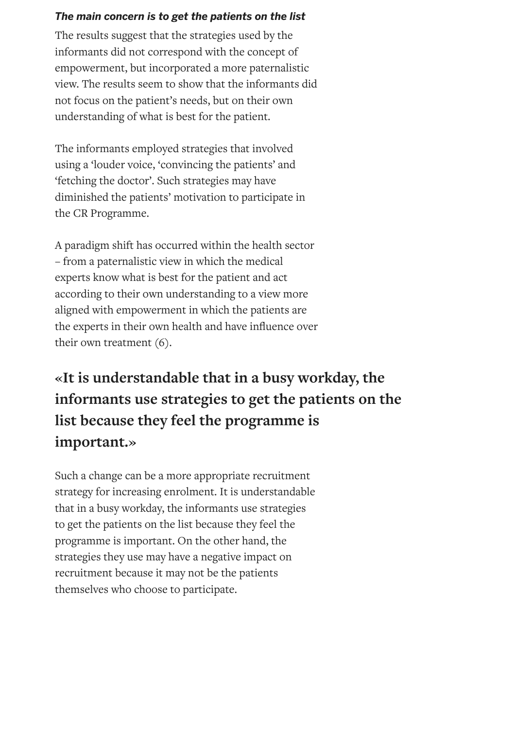#### *The main concern is to get the patients on the list*

The results suggest that the strategies used by the informants did not correspond with the concept of empowerment, but incorporated a more paternalistic view. The results seem to show that the informants did not focus on the patient's needs, but on their own understanding of what is best for the patient.

The informants employed strategies that involved using a 'louder voice, 'convincing the patients' and 'fetching the doctor'. Such strategies may have diminished the patients' motivation to participate in the CR Programme.

A paradigm shift has occurred within the health sector – from a paternalistic view in which the medical experts know what is best for the patient and act according to their own understanding to a view more aligned with empowerment in which the patients are the experts in their own health and have influence over their own treatment (6).

# **«It is understandable that in a busy workday, the informants use strategies to get the patients on the list because they feel the programme is important.»**

Such a change can be a more appropriate recruitment strategy for increasing enrolment. It is understandable that in a busy workday, the informants use strategies to get the patients on the list because they feel the programme is important. On the other hand, the strategies they use may have a negative impact on recruitment because it may not be the patients themselves who choose to participate.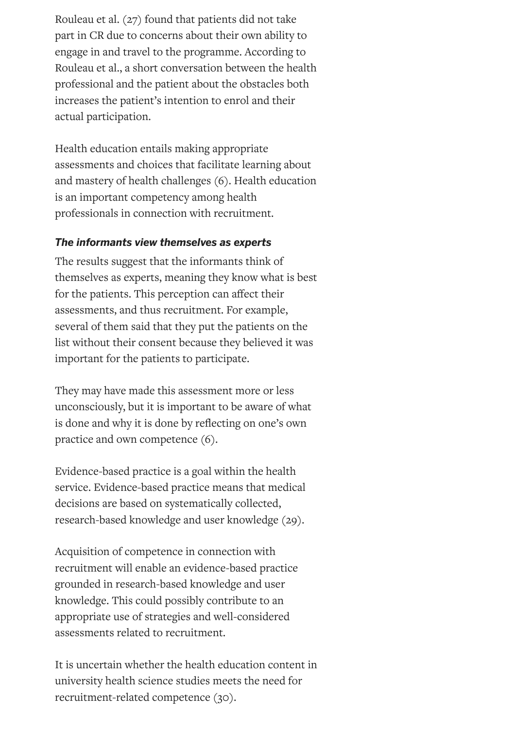Rouleau et al. (27) found that patients did not take part in CR due to concerns about their own ability to engage in and travel to the programme. According to Rouleau et al., a short conversation between the health professional and the patient about the obstacles both increases the patient's intention to enrol and their actual participation.

Health education entails making appropriate assessments and choices that facilitate learning about and mastery of health challenges (6). Health education is an important competency among health professionals in connection with recruitment.

#### *The informants view themselves as experts*

The results suggest that the informants think of themselves as experts, meaning they know what is best for the patients. This perception can affect their assessments, and thus recruitment. For example, several of them said that they put the patients on the list without their consent because they believed it was important for the patients to participate.

They may have made this assessment more or less unconsciously, but it is important to be aware of what is done and why it is done by reflecting on one's own practice and own competence (6).

Evidence-based practice is a goal within the health service. Evidence-based practice means that medical decisions are based on systematically collected, research-based knowledge and user knowledge (29).

Acquisition of competence in connection with recruitment will enable an evidence-based practice grounded in research-based knowledge and user knowledge. This could possibly contribute to an appropriate use of strategies and well-considered assessments related to recruitment.

It is uncertain whether the health education content in university health science studies meets the need for recruitment-related competence (30).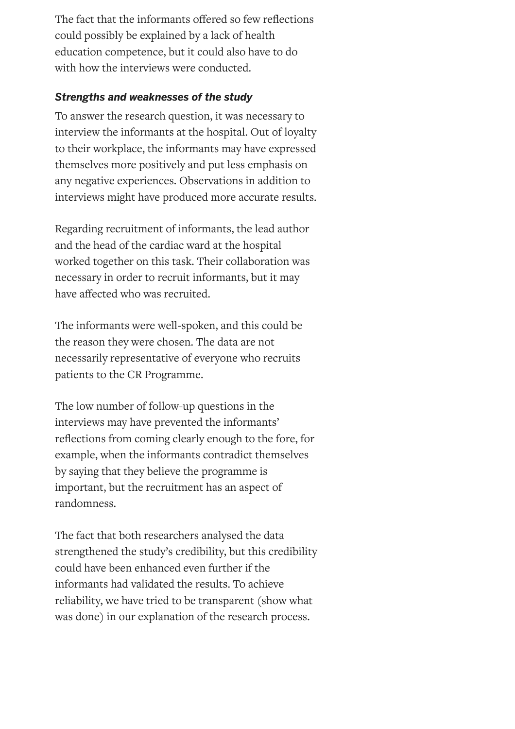The fact that the informants offered so few reflections could possibly be explained by a lack of health education competence, but it could also have to do with how the interviews were conducted.

#### *Strengths and weaknesses of the study*

To answer the research question, it was necessary to interview the informants at the hospital. Out of loyalty to their workplace, the informants may have expressed themselves more positively and put less emphasis on any negative experiences. Observations in addition to interviews might have produced more accurate results.

Regarding recruitment of informants, the lead author and the head of the cardiac ward at the hospital worked together on this task. Their collaboration was necessary in order to recruit informants, but it may have affected who was recruited.

The informants were well-spoken, and this could be the reason they were chosen. The data are not necessarily representative of everyone who recruits patients to the CR Programme.

The low number of follow-up questions in the interviews may have prevented the informants' reflections from coming clearly enough to the fore, for example, when the informants contradict themselves by saying that they believe the programme is important, but the recruitment has an aspect of randomness.

The fact that both researchers analysed the data strengthened the study's credibility, but this credibility could have been enhanced even further if the informants had validated the results. To achieve reliability, we have tried to be transparent (show what was done) in our explanation of the research process.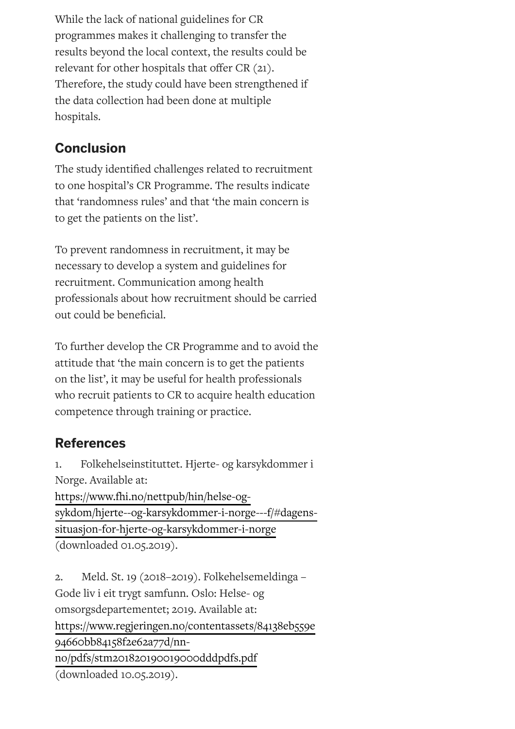While the lack of national guidelines for CR programmes makes it challenging to transfer the results beyond the local context, the results could be relevant for other hospitals that offer  $CR(21)$ . Therefore, the study could have been strengthened if the data collection had been done at multiple hospitals.

# **Conclusion**

The study identified challenges related to recruitment to one hospital's CR Programme. The results indicate that 'randomness rules' and that 'the main concern is to get the patients on the list'.

To prevent randomness in recruitment, it may be necessary to develop a system and guidelines for recruitment. Communication among health professionals about how recruitment should be carried out could be beneficial.

To further develop the CR Programme and to avoid the attitude that 'the main concern is to get the patients on the list', it may be useful for health professionals who recruit patients to CR to acquire health education competence through training or practice.

# **References**

1. Folkehelseinstituttet. Hjerte- og karsykdommer i Norge. Available at:

https://www.fhi.no/nettpub/hin/helse-og[sykdom/hjerte--og-karsykdommer-i-norge---f/#dagens](https://www.fhi.no/nettpub/hin/helse-og-sykdom/hjerte--og-karsykdommer-i-norge---f/#dagens-situasjon-for-hjerte-og-karsykdommer-i-norge)situasjon-for-hjerte-og-karsykdommer-i-norge (downloaded 01.05.2019).

2. Meld. St. 19 (2018–2019). Folkehelsemeldinga – Gode liv i eit trygt samfunn. Oslo: Helse- og omsorgsdepartementet; 2019. Available at: [https://www.regjeringen.no/contentassets/84138eb559e](https://www.regjeringen.no/contentassets/84138eb559e94660bb84158f2e62a77d/nn-no/pdfs/stm201820190019000dddpdfs.pdf) 94660bb84158f2e62a77d/nnno/pdfs/stm201820190019000dddpdfs.pdf (downloaded 10.05.2019).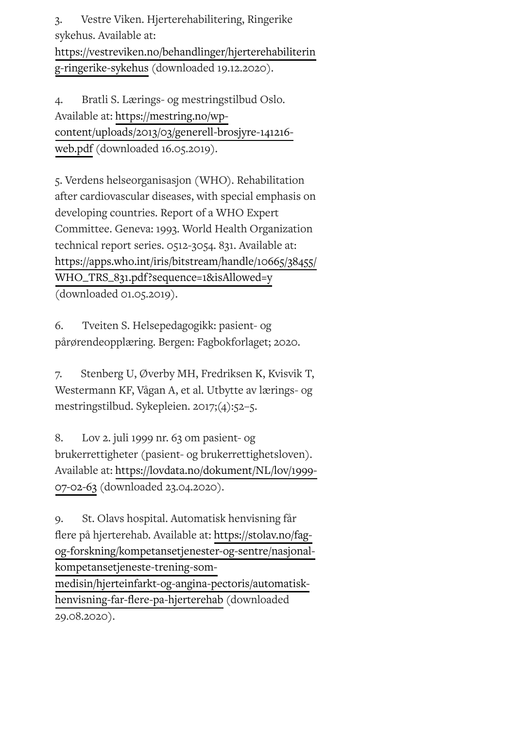3. Vestre Viken. Hjerterehabilitering, Ringerike sykehus. Available at: [https://vestreviken.no/behandlinger/hjerterehabiliterin](https://vestreviken.no/behandlinger/hjerterehabilitering-ringerike-sykehus) g-ringerike-sykehus (downloaded 19.12.2020).

4. Bratli S. Lærings- og mestringstilbud Oslo. Available at: https://mestring.no/wp[content/uploads/2013/03/generell-brosjyre-141216](https://mestring.no/wp-content/uploads/2013/03/generell-brosjyre-141216-web.pdf) web.pdf (downloaded 16.05.2019).

5. Verdens helseorganisasjon (WHO). Rehabilitation after cardiovascular diseases, with special emphasis on developing countries. Report of a WHO Expert Committee. Geneva: 1993. World Health Organization technical report series. 0512-3054. 831. Available at: [https://apps.who.int/iris/bitstream/handle/10665/38455/](https://apps.who.int/iris/bitstream/handle/10665/38455/WHO_TRS_831.pdf?sequence=1&isAllowed=y) WHO\_TRS\_831.pdf?sequence=1&isAllowed=y (downloaded 01.05.2019).

6. Tveiten S. Helsepedagogikk: pasient- og pårørendeopplæring. Bergen: Fagbokforlaget; 2020.

7. Stenberg U, Øverby MH, Fredriksen K, Kvisvik T, Westermann KF, Vågan A, et al. Utbytte av lærings- og mestringstilbud. Sykepleien. 2017;(4):52–5.

8. Lov 2. juli 1999 nr. 63 om pasient- og brukerrettigheter (pasient- og brukerrettighetsloven). Available at: [https://lovdata.no/dokument/NL/lov/1999-](https://lovdata.no/dokument/NL/lov/1999-07-02-63) 07-02-63 (downloaded 23.04.2020).

9. St. Olavs hospital. Automatisk henvisning får flere på hjerterehab. Available at: https://stolav.no/fag[og-forskning/kompetansetjenester-og-sentre/nasjonal](https://stolav.no/fag-og-forskning/kompetansetjenester-og-sentre/nasjonal-kompetansetjeneste-trening-som-medisin/hjerteinfarkt-og-angina-pectoris/automatisk-henvisning-far-flere-pa-hjerterehab)kompetansetjeneste-trening-sommedisin/hjerteinfarkt-og-angina-pectoris/automatiskhenvisning-far-flere-pa-hjerterehab (downloaded 29.08.2020).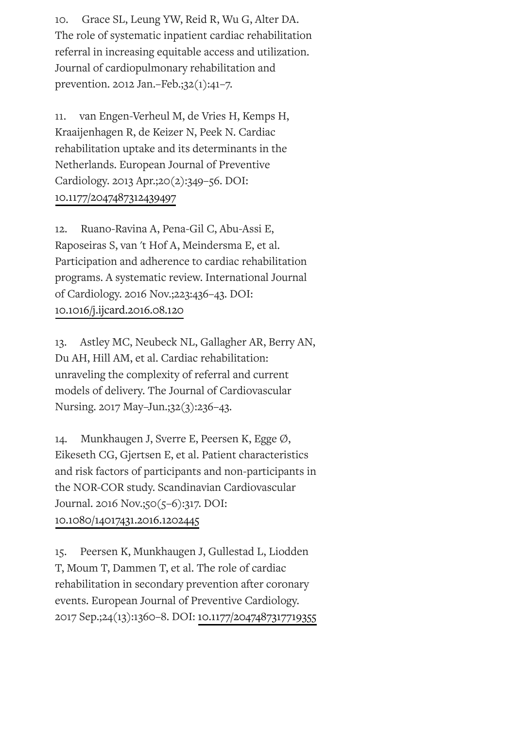10. Grace SL, Leung YW, Reid R, Wu G, Alter DA. The role of systematic inpatient cardiac rehabilitation referral in increasing equitable access and utilization. Journal of cardiopulmonary rehabilitation and prevention. 2012 Jan.–Feb.;32(1):41–7.

11. van Engen-Verheul M, de Vries H, Kemps H, Kraaijenhagen R, de Keizer N, Peek N. Cardiac rehabilitation uptake and its determinants in the Netherlands. European Journal of Preventive Cardiology. 2013 Apr.;20(2):349–56. DOI: [10.1177/2047487312439497](https://doi.org/10.1177/2047487312439497)

12. Ruano-Ravina A, Pena-Gil C, Abu-Assi E, Raposeiras S, van 't Hof A, Meindersma E, et al. Participation and adherence to cardiac rehabilitation programs. A systematic review. International Journal of Cardiology. 2016 Nov.;223:436–43. DOI: [10.1016/j.ijcard.2016.08.120](https://doi.org/10.1016/j.ijcard.2016.08.120)

13. Astley MC, Neubeck NL, Gallagher AR, Berry AN, Du AH, Hill AM, et al. Cardiac rehabilitation: unraveling the complexity of referral and current models of delivery. The Journal of Cardiovascular Nursing. 2017 May–Jun.;32(3):236–43.

14. Munkhaugen J, Sverre E, Peersen K, Egge Ø, Eikeseth CG, Gjertsen E, et al. Patient characteristics and risk factors of participants and non-participants in the NOR-COR study. Scandinavian Cardiovascular Journal. 2016 Nov.;50(5–6):317. DOI: [10.1080/14017431.2016.1202445](https://doi.org/10.1080/14017431.2016.1202445)

15. Peersen K, Munkhaugen J, Gullestad L, Liodden T, Moum T, Dammen T, et al. The role of cardiac rehabilitation in secondary prevention after coronary events. European Journal of Preventive Cardiology. 2017 Sep.;24(13):1360–8. DOI: [10.1177/2047487317719355](https://doi.org/10.1177/2047487317719355)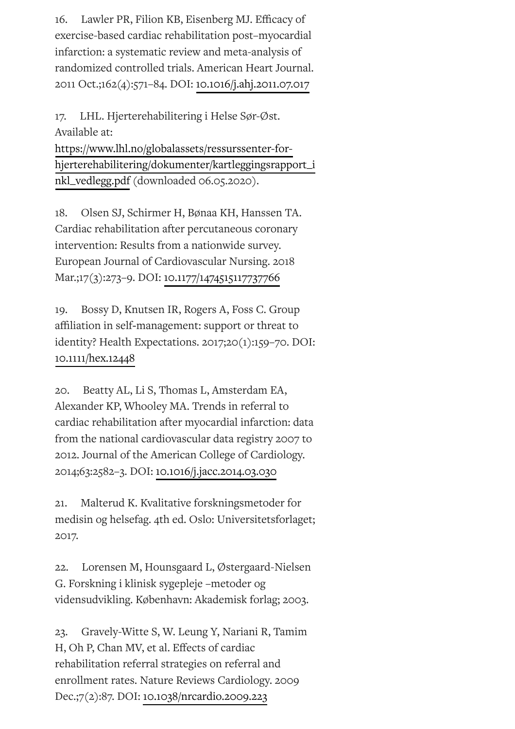16. Lawler PR, Filion KB, Eisenberg MJ. Efficacy of exercise-based cardiac rehabilitation post–myocardial infarction: a systematic review and meta-analysis of randomized controlled trials. American Heart Journal. 2011 Oct.;162(4):571–84. DOI: [10.1016/j.ahj.2011.07.017](https://doi.org/10.1016/j.ahj.2011.07.017)

17. LHL. Hjerterehabilitering i Helse Sør-Øst. Available at:

https://www.lhl.no/globalassets/ressurssenter-for[hjerterehabilitering/dokumenter/kartleggingsrapport\\_i](https://www.lhl.no/globalassets/ressurssenter-for-hjerterehabilitering/dokumenter/kartleggingsrapport_inkl_vedlegg.pdf) nkl\_vedlegg.pdf (downloaded 06.05.2020).

18. Olsen SJ, Schirmer H, Bønaa KH, Hanssen TA. Cardiac rehabilitation after percutaneous coronary intervention: Results from a nationwide survey. European Journal of Cardiovascular Nursing. 2018 Mar.;17(3):273–9. DOI: [10.1177/1474515117737766](https://doi.org/10.1177/1474515117737766)

19. Bossy D, Knutsen IR, Rogers A, Foss C. Group affiliation in self-management: support or threat to identity? Health Expectations. 2017;20(1):159–70. DOI: [10.1111/hex.12448](https://doi.org/10.1111/hex.12448)

20. Beatty AL, Li S, Thomas L, Amsterdam EA, Alexander KP, Whooley MA. Trends in referral to cardiac rehabilitation after myocardial infarction: data from the national cardiovascular data registry 2007 to 2012. Journal of the American College of Cardiology. 2014;63:2582–3. DOI: [10.1016/j.jacc.2014.03.030](https://doi.org/10.1016/j.jacc.2014.03.030)

21. Malterud K. Kvalitative forskningsmetoder for medisin og helsefag. 4th ed. Oslo: Universitetsforlaget; 2017.

22. Lorensen M, Hounsgaard L, Østergaard-Nielsen G. Forskning i klinisk sygepleje –metoder og vidensudvikling. København: Akademisk forlag; 2003.

23. Gravely-Witte S, W. Leung Y, Nariani R, Tamim H, Oh P, Chan MV, et al. Effects of cardiac rehabilitation referral strategies on referral and enrollment rates. Nature Reviews Cardiology. 2009 Dec.;7(2):87. DOI: [10.1038/nrcardio.2009.223](https://doi.org/10.1038/nrcardio.2009.223)